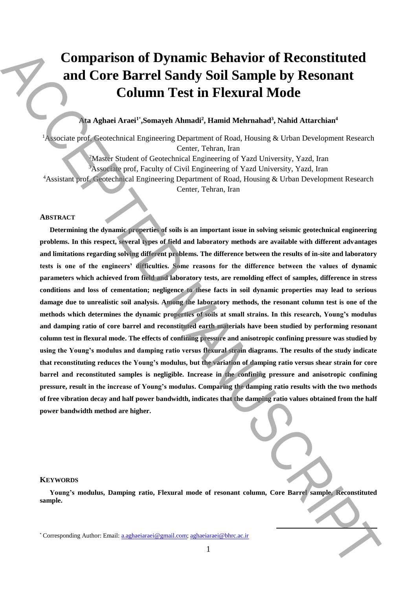# **Comparison of Dynamic Behavior of Reconstituted and Core Barrel Sandy Soil Sample by Resonant Column Test in Flexural Mode**

## **Ata Aghaei Araei<sup>1</sup>**\* **,Somayeh Ahmadi<sup>2</sup> , Hamid Mehrnahad<sup>3</sup> , Nahid Attarchian<sup>4</sup>**

<sup>1</sup>Associate prof, Geotechnical Engineering Department of Road, Housing & Urban Development Research Center, Tehran, Iran

<sup>2</sup>Master Student of Geotechnical Engineering of Yazd University, Yazd, Iran

<sup>3</sup>Associate prof, Faculty of Civil Engineering of Yazd University, Yazd, Iran

<sup>4</sup>Assistant prof, Geotechnical Engineering Department of Road, Housing & Urban Development Research Center, Tehran, Iran

## **ABSTRACT**

**Determining the dynamic properties of soils is an important issue in solving seismic geotechnical engineering problems. In this respect, several types of field and laboratory methods are available with different advantages and limitations regarding solving different problems. The difference between the results of in-site and laboratory tests is one of the engineers' difficulties. Some reasons for the difference between the values of dynamic parameters which achieved from field and laboratory tests, are remolding effect of samples, difference in stress conditions and loss of cementation; negligence to these facts in soil dynamic properties may lead to serious damage due to unrealistic soil analysis. Among the laboratory methods, the resonant column test is one of the methods which determines the dynamic properties of soils at small strains. In this research, Young's modulus and damping ratio of core barrel and reconstituted earth materials have been studied by performing resonant column test in flexural mode. The effects of confining pressure and anisotropic confining pressure was studied by using the Young's modulus and damping ratio versus flexural strain diagrams. The results of the study indicate that reconstituting reduces the Young's modulus, but the variation of damping ratio versus shear strain for core barrel and reconstituted samples is negligible. Increase in the confining pressure and anisotropic confining pressure, result in the increase of Young's modulus. Comparing the damping ratio results with the two methods of free vibration decay and half power bandwidth, indicates that the damping ratio values obtained from the half power bandwidth method are higher. Corresponding Author:** Email:  $\frac{1}{2}$  Corresponding Author: Email and Corresponding Author: Email and Authorities in the Corresponding Author: Although Author: Although Author: Although Author: Although Author: Althoug

### **KEYWORDS**

**Young's modulus, Damping ratio, Flexural mode of resonant column, Core Barrel sample, Reconstituted sample.**

**.**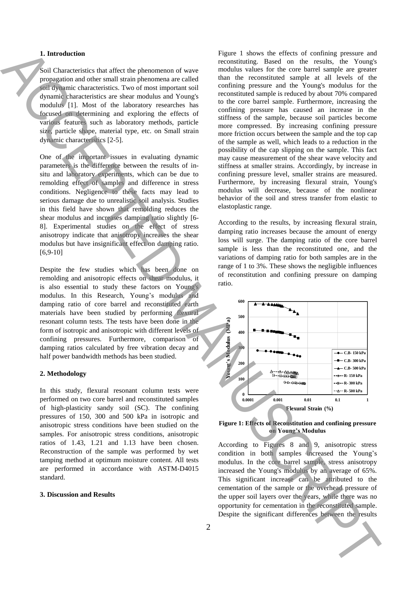## **1. Introduction**

Soil Characteristics that affect the phenomenon of wave propagation and other small strain phenomena are called soil dynamic characteristics. Two of most important soil dynamic characteristics are shear modulus and Young's modulus [1]. Most of the laboratory researches has focused on determining and exploring the effects of various features such as laboratory methods, particle size, particle shape, material type, etc. on Small strain dynamic characteristics [2-5].

One of the important issues in evaluating dynamic parameters is the difference between the results of insitu and laboratory experiments, which can be due to remolding effect of samples and difference in stress conditions. Negligence to these facts may lead to serious damage due to unrealistic soil analysis. Studies in this field have shown that remolding reduces the shear modulus and increases damping ratio slightly [6- 8]. Experimental studies on the effect of stress anisotropy indicate that anisotropy increases the shear modulus but have insignificant effect on damping ratio. [6,9-10]

Despite the few studies which has been done on remolding and anisotropic effects on shear modulus, it is also essential to study these factors on Young's modulus. In this Research, Young's modulus and damping ratio of core barrel and reconstituted earth materials have been studied by performing flexural resonant column tests. The tests have been done in the form of isotropic and anisotropic with different levels of confining pressures. Furthermore, comparison of damping ratios calculated by free vibration decay and half power bandwidth methods has been studied.

## **2. Methodology**

In this study, flexural resonant column tests were performed on two core barrel and reconstituted samples of high-plasticity sandy soil (SC). The confining pressures of 150, 300 and 500 kPa in isotropic and anisotropic stress conditions have been studied on the samples. For anisotropic stress conditions, anisotropic ratios of 1.43, 1.21 and 1.13 have been chosen. Reconstruction of the sample was performed by wet tamping method at optimum moisture content. All tests are performed in accordance with ASTM-D4015 standard.

#### **3. Discussion and Results**

Figure 1 shows the effects of confining pressure and reconstituting. Based on the results, the Young's modulus values for the core barrel sample are greater than the reconstituted sample at all levels of the confining pressure and the Young's modulus for the reconstituted sample is reduced by about 70% compared to the core barrel sample. Furthermore, increasing the confining pressure has caused an increase in the stiffness of the sample, because soil particles become more compressed. By increasing confining pressure more friction occurs between the sample and the top cap of the sample as well, which leads to a reduction in the possibility of the cap slipping on the sample. This fact may cause measurement of the shear wave velocity and stiffness at smaller strains. Accordingly, by increase in confining pressure level, smaller strains are measured. Furthermore, by increasing flexural strain, Young's modulus will decrease, because of the nonlinear behavior of the soil and stress transfer from elastic to elastoplastic range. Leade Content of the significant content of the significant of the significant of the results ACCEPTER CONTENT CONTENT CONTENT CONTENT CONTENT CONTENT CONTENT CONTENT CONTENT CONTENT CONTENT CONTENT CONTENT CONTENT CONTEN

According to the results, by increasing flexural strain, damping ratio increases because the amount of energy loss will surge. The damping ratio of the core barrel sample is less than the reconstituted one, and the variations of damping ratio for both samples are in the range of 1 to 3%. These shows the negligible influences of reconstitution and confining pressure on damping ratio.



**Figure 1: Effects of Reconstitution and confining pressure on Young's Modulus**

According to Figures 8 and 9, anisotropic stress condition in both samples increased the Young's modulus. In the core barrel sample, stress anisotropy increased the Young's modulus by an average of 65%. This significant increase can be attributed to the cementation of the sample or the overhead pressure of the upper soil layers over the years, while there was no opportunity for cementation in the reconstituted sample.